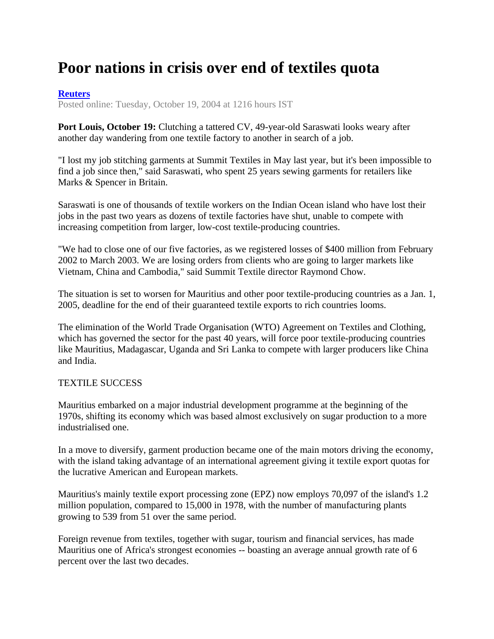## **Poor nations in crisis over end of textiles quota**

## **Reuters**

Posted online: Tuesday, October 19, 2004 at 1216 hours IST

**Port Louis, October 19:** Clutching a tattered CV, 49-year-old Saraswati looks weary after another day wandering from one textile factory to another in search of a job.

"I lost my job stitching garments at Summit Textiles in May last year, but it's been impossible to find a job since then," said Saraswati, who spent 25 years sewing garments for retailers like Marks & Spencer in Britain.

Saraswati is one of thousands of textile workers on the Indian Ocean island who have lost their jobs in the past two years as dozens of textile factories have shut, unable to compete with increasing competition from larger, low-cost textile-producing countries.

"We had to close one of our five factories, as we registered losses of \$400 million from February 2002 to March 2003. We are losing orders from clients who are going to larger markets like Vietnam, China and Cambodia," said Summit Textile director Raymond Chow.

The situation is set to worsen for Mauritius and other poor textile-producing countries as a Jan. 1, 2005, deadline for the end of their guaranteed textile exports to rich countries looms.

The elimination of the World Trade Organisation (WTO) Agreement on Textiles and Clothing, which has governed the sector for the past 40 years, will force poor textile-producing countries like Mauritius, Madagascar, Uganda and Sri Lanka to compete with larger producers like China and India.

## TEXTILE SUCCESS

Mauritius embarked on a major industrial development programme at the beginning of the 1970s, shifting its economy which was based almost exclusively on sugar production to a more industrialised one.

In a move to diversify, garment production became one of the main motors driving the economy, with the island taking advantage of an international agreement giving it textile export quotas for the lucrative American and European markets.

Mauritius's mainly textile export processing zone (EPZ) now employs 70,097 of the island's 1.2 million population, compared to 15,000 in 1978, with the number of manufacturing plants growing to 539 from 51 over the same period.

Foreign revenue from textiles, together with sugar, tourism and financial services, has made Mauritius one of Africa's strongest economies -- boasting an average annual growth rate of 6 percent over the last two decades.